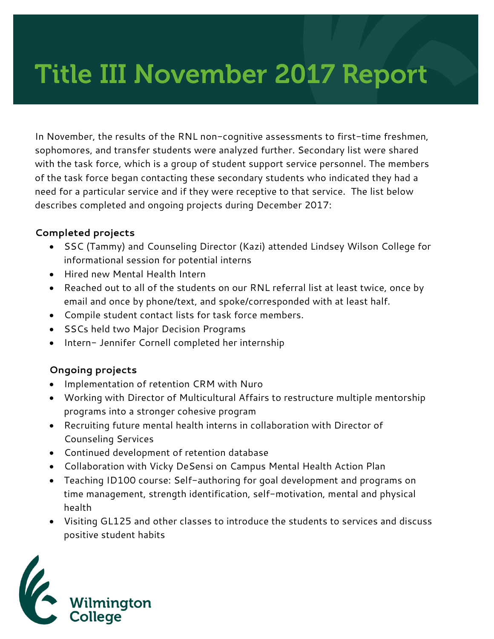# Title III November 2017 Report

In November, the results of the RNL non-cognitive assessments to first-time freshmen, sophomores, and transfer students were analyzed further. Secondary list were shared with the task force, which is a group of student support service personnel. The members of the task force began contacting these secondary students who indicated they had a need for a particular service and if they were receptive to that service. The list below describes completed and ongoing projects during December 2017:

## **Completed projects**

- SSC (Tammy) and Counseling Director (Kazi) attended Lindsey Wilson College for informational session for potential interns
- Hired new Mental Health Intern
- Reached out to all of the students on our RNL referral list at least twice, once by email and once by phone/text, and spoke/corresponded with at least half.
- Compile student contact lists for task force members.
- SSCs held two Major Decision Programs
- Intern- Jennifer Cornell completed her internship

## **Ongoing projects**

- Implementation of retention CRM with Nuro
- Working with Director of Multicultural Affairs to restructure multiple mentorship programs into a stronger cohesive program
- Recruiting future mental health interns in collaboration with Director of Counseling Services
- Continued development of retention database
- Collaboration with Vicky DeSensi on Campus Mental Health Action Plan
- Teaching ID100 course: Self-authoring for goal development and programs on time management, strength identification, self-motivation, mental and physical health
- Visiting GL125 and other classes to introduce the students to services and discuss positive student habits

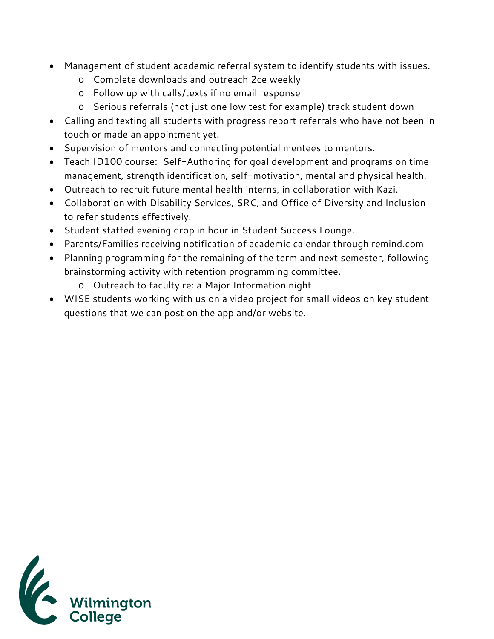- Management of student academic referral system to identify students with issues.
	- o Complete downloads and outreach 2ce weekly
	- o Follow up with calls/texts if no email response
	- o Serious referrals (not just one low test for example) track student down
- Calling and texting all students with progress report referrals who have not been in touch or made an appointment yet.
- Supervision of mentors and connecting potential mentees to mentors.
- Teach ID100 course: Self-Authoring for goal development and programs on time management, strength identification, self-motivation, mental and physical health.
- Outreach to recruit future mental health interns, in collaboration with Kazi.
- Collaboration with Disability Services, SRC, and Office of Diversity and Inclusion to refer students effectively.
- Student staffed evening drop in hour in Student Success Lounge.
- Parents/Families receiving notification of academic calendar through remind.com
- Planning programming for the remaining of the term and next semester, following brainstorming activity with retention programming committee.
	- o Outreach to faculty re: a Major Information night
- WISE students working with us on a video project for small videos on key student questions that we can post on the app and/or website.

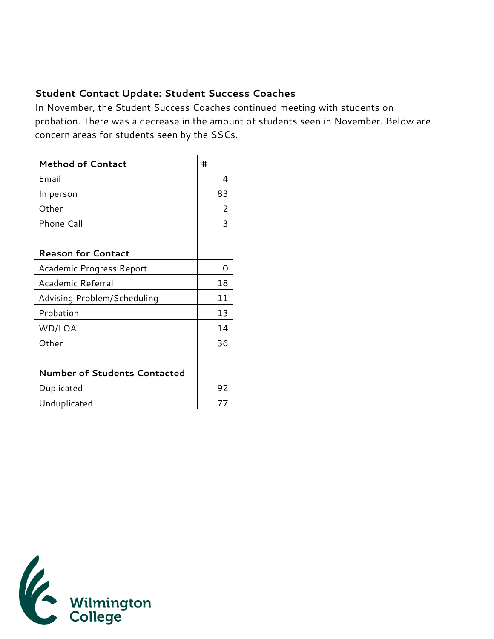## **Student Contact Update: Student Success Coaches**

In November, the Student Success Coaches continued meeting with students on probation. There was a decrease in the amount of students seen in November. Below are concern areas for students seen by the SSCs.

| <b>Method of Contact</b>            | #  |
|-------------------------------------|----|
| Email                               | 4  |
| In person                           | 83 |
| Other                               | 2  |
| <b>Phone Call</b>                   | 3  |
|                                     |    |
| <b>Reason for Contact</b>           |    |
| Academic Progress Report            | Ω  |
| Academic Referral                   | 18 |
| Advising Problem/Scheduling         | 11 |
| Probation                           | 13 |
| WD/LOA                              | 14 |
| Other                               | 36 |
|                                     |    |
| <b>Number of Students Contacted</b> |    |
| Duplicated                          | 92 |
| Unduplicated                        | 77 |